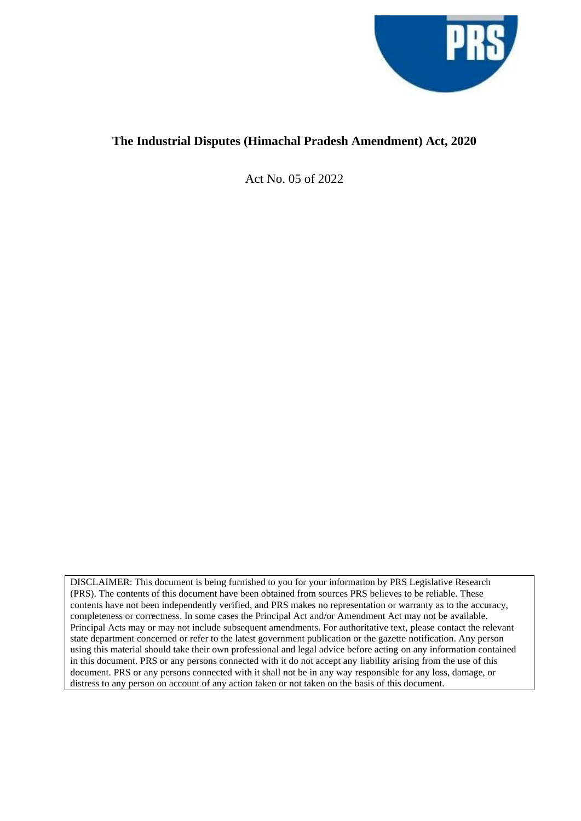

# **The Industrial Disputes (Himachal Pradesh Amendment) Act, 2020**

Act No. 05 of 2022

DISCLAIMER: This document is being furnished to you for your information by PRS Legislative Research (PRS). The contents of this document have been obtained from sources PRS believes to be reliable. These contents have not been independently verified, and PRS makes no representation or warranty as to the accuracy, completeness or correctness. In some cases the Principal Act and/or Amendment Act may not be available. Principal Acts may or may not include subsequent amendments. For authoritative text, please contact the relevant state department concerned or refer to the latest government publication or the gazette notification. Any person using this material should take their own professional and legal advice before acting on any information contained in this document. PRS or any persons connected with it do not accept any liability arising from the use of this document. PRS or any persons connected with it shall not be in any way responsible for any loss, damage, or distress to any person on account of any action taken or not taken on the basis of this document.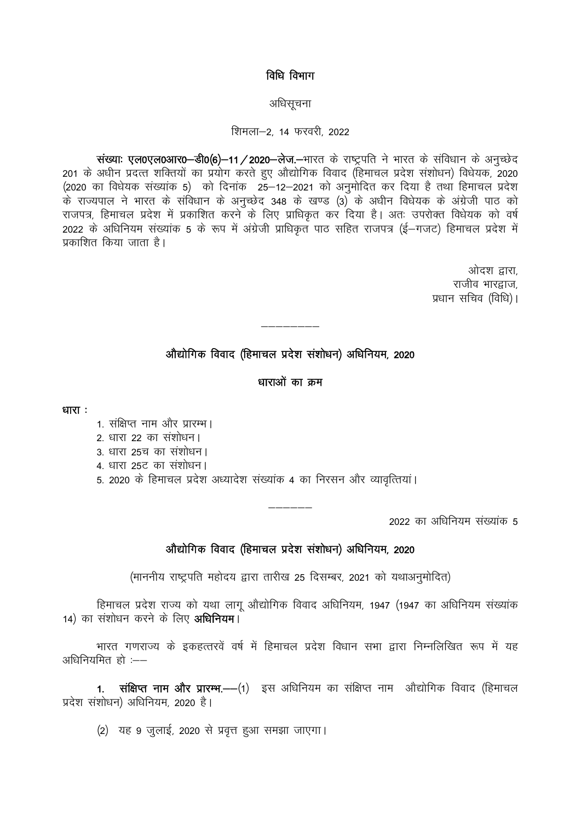## विधि विभाग

### अधिसूचना

## शिमला-2, 14 फरवरी, 2022

संख्याः एल0एल0आर0-डी0(6)-11/2020-लेज.-भारत के राष्ट्रपति ने भारत के संविधान के अनुच्छेद 201 के अधीन प्रदत्त शक्तियों का प्रयोग करते हुए औद्योगिक विवाद (हिमाचल प्रदेश संशोधन) विधेयक, 2020 (2020 का विधेयक संख्यांक 5) को दिनांक 25-12-2021 को अनुमोदित कर दिया है तथा हिमाचल प्रदेश के राज्यपाल ने भारत के संविधान के अनुच्छेद 348 के खण्ड (3) के अधीन विधेयक के अंग्रेजी पाठ को राजपत्र, हिमाचल प्रदेश में प्रकाशित करने के लिए प्राधिकृत कर दिया है। अतः उपरोक्त विधेयक को वर्ष .<br>2022 के अधिनियम संख्यांक 5 के रूप में अंग्रेजी प्राधिकृत पाठ सहित राजपत्र (ई—गजट) हिमाचल प्रदेश में प्रकाशित किया जाता है।

> ओदश द्वारा, राजीव भारद्वाज. प्रधान सचिव (विधि)।

# औद्योगिक विवाद (हिमाचल प्रदेश संशोधन) अधिनियम, 2020

## धाराओं का क्रम

धारा $:$ 

- 1. संक्षिप्त नाम और प्रारम्भ।
- 2. धारा 22 का संशोधन।
- 3. धारा 25च का संशोधन।
- 4. धारा 25ट का संशोधन।
- 5. 2020 के हिमाचल प्रदेश अध्यादेश संख्यांक 4 का निरसन और व्यावृत्तियां।

2022 का अधिनियम संख्यांक 5

## औद्योगिक विवाद (हिमाचल प्रदेश संशोधन) अधिनियम, 2020

(माननीय राष्ट्रपति महोदय द्वारा तारीख 25 दिसम्बर, 2021 को यथाअनुमोदित)

हिमाचल प्रदेश राज्य को यथा लागू औद्योगिक विवाद अधिनियम, 1947 (1947 का अधिनियम संख्यांक 14) का संशोधन करने के लिए अधिनियम।

भारत गणराज्य के इकहत्तरवें वर्ष में हिमाचल प्रदेश विधान सभा द्वारा निम्नलिखित रूप में यह अधिनियमित हो :--

संक्षिप्त नाम और प्रारम्भ.-- (1) इस अधिनियम का संक्षिप्त नाम औद्योगिक विवाद (हिमाचल  $1<sup>1</sup>$ प्रदेश संशोधन) अधिनियम, 2020 है।

(2) यह 9 जुलाई, 2020 से प्रवृत्त हुआ समझा जाएगा।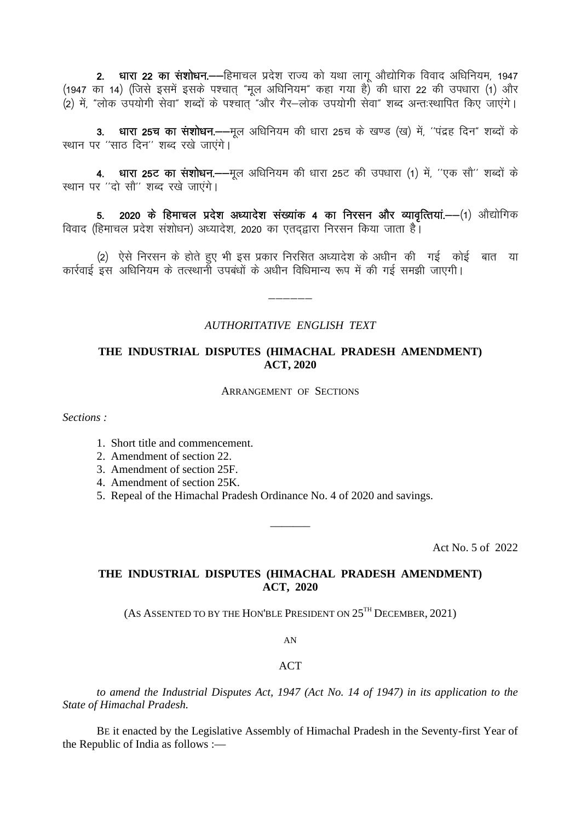2. धारा 22 का संशोधन. - हिमाचल प्रदेश राज्य को यथा लागू औद्योगिक विवाद अधिनियम, 1947 (1947 का 14) (जिसे इसमें इसके पश्चात "मूल अधिनियम" कहा गया है) की धारा 22 की उपधारा (1) और (2) में "लोक उपयोगी सेवा" शब्दों के पश्चात "और गैर-लोक उपयोगी सेवा" शब्द अन्तःस्थापित किए जाएंगे।

3. धारा 25च का संशोधन.--मूल अधिनियम की धारा 25च के खण्ड (ख) में, "पंद्रह दिन" शब्दों के स्थान पर "साठ दिन" शब्द रखे जाएंगे।

4. धारा 25ट का संशोधन.--मूल अधिनियम की धारा 25ट की उपधारा (1) में, "एक सौ" शब्दों के स्थान पर "दो सौ" शब्द रखे जाएंगे।

5. 2020 के हिमाचल प्रदेश अध्यादेश संख्यांक 4 का निरसन और व्यावृत्तियां.——(1) औद्योगिक विवाद (हिमाचल प्रदेश संशोधन) अध्यादेश, 2020 का एतदद्वारा निरसन किया जाता है।

(2) ऐसे निरसन के होते हुए भी इस प्रकार निरसित अध्यादेश के अधीन की गई कोई बात या कार्रवाई इस अधिनियम के तत्स्थानों उपबंधों के अधीन विधिमान्य रूप में की गई समझी जाएगी।

## **AUTHORITATIVE ENGLISH TEXT**

## THE INDUSTRIAL DISPUTES (HIMACHAL PRADESH AMENDMENT) **ACT, 2020**

**ARRANGEMENT OF SECTIONS** 

Sections:

- 1. Short title and commencement.
- 2. Amendment of section 22.
- 3. Amendment of section 25F.
- 4. Amendment of section 25K.
- 5. Repeal of the Himachal Pradesh Ordinance No. 4 of 2020 and savings.

Act No. 5 of 2022

# THE INDUSTRIAL DISPUTES (HIMACHAL PRADESH AMENDMENT) ACT, 2020

(AS ASSENTED TO BY THE HON'BLE PRESIDENT ON  $25^{TH}$  DECEMBER, 2021)

 $AN$ 

#### **ACT**

to amend the Industrial Disputes Act, 1947 (Act No. 14 of 1947) in its application to the State of Himachal Pradesh.

BE it enacted by the Legislative Assembly of Himachal Pradesh in the Seventy-first Year of the Republic of India as follows :-